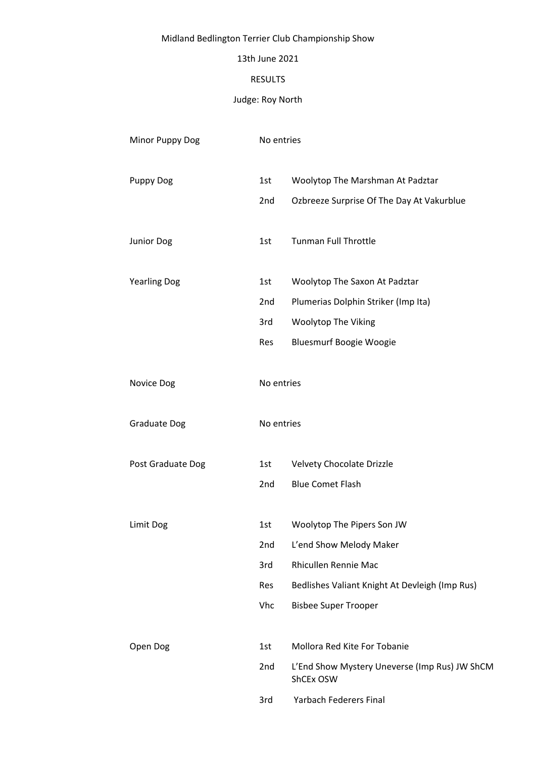# Midland Bedlington Terrier Club Championship Show

### 13th June 2021

### RESULTS

# Judge: Roy North

| Minor Puppy Dog     | No entries |                                                            |
|---------------------|------------|------------------------------------------------------------|
| <b>Puppy Dog</b>    | 1st        | Woolytop The Marshman At Padztar                           |
|                     | 2nd        | Ozbreeze Surprise Of The Day At Vakurblue                  |
| Junior Dog          | 1st        | <b>Tunman Full Throttle</b>                                |
| <b>Yearling Dog</b> | 1st        | Woolytop The Saxon At Padztar                              |
|                     | 2nd        | Plumerias Dolphin Striker (Imp Ita)                        |
|                     | 3rd        | Woolytop The Viking                                        |
|                     | Res        | <b>Bluesmurf Boogie Woogie</b>                             |
| Novice Dog          | No entries |                                                            |
| <b>Graduate Dog</b> | No entries |                                                            |
| Post Graduate Dog   | 1st        | Velvety Chocolate Drizzle                                  |
|                     | 2nd        | <b>Blue Comet Flash</b>                                    |
| Limit Dog           | 1st        | Woolytop The Pipers Son JW                                 |
|                     | 2nd        | L'end Show Melody Maker                                    |
|                     | 3rd        | Rhicullen Rennie Mac                                       |
|                     | Res        | Bedlishes Valiant Knight At Devleigh (Imp Rus)             |
|                     | Vhc        | <b>Bisbee Super Trooper</b>                                |
| Open Dog            | 1st        | Mollora Red Kite For Tobanie                               |
|                     | 2nd        | L'End Show Mystery Uneverse (Imp Rus) JW ShCM<br>ShCEx OSW |
|                     | 3rd        | Yarbach Federers Final                                     |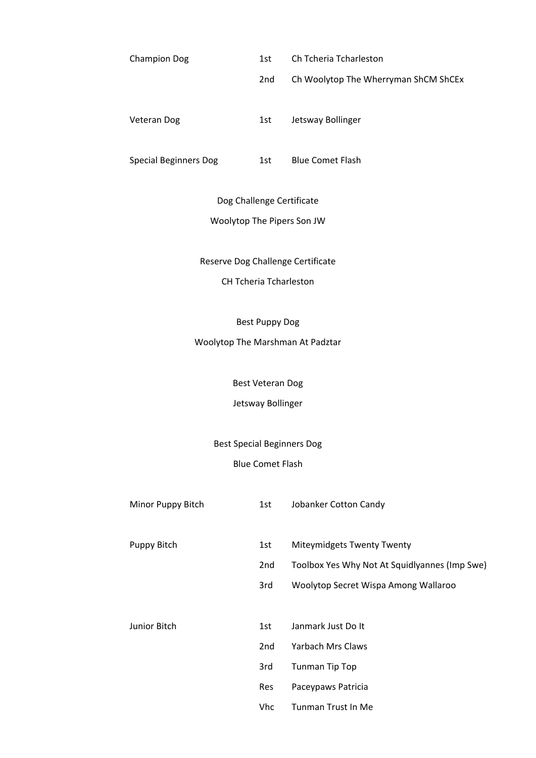| 1st | Ch Tcheria Tcharleston               |
|-----|--------------------------------------|
| 2nd | Ch Woolytop The Wherryman ShCM ShCEx |
| 1st | Jetsway Bollinger                    |
|     |                                      |

Special Beginners Dog 1st Blue Comet Flash

Dog Challenge Certificate

## Woolytop The Pipers Son JW

Reserve Dog Challenge Certificate

CH Tcheria Tcharleston

Best Puppy Dog

Woolytop The Marshman At Padztar

Best Veteran Dog

Jetsway Bollinger

Best Special Beginners Dog

## Blue Comet Flash

| Minor Puppy Bitch | 1st             | Jobanker Cotton Candy                         |
|-------------------|-----------------|-----------------------------------------------|
|                   |                 |                                               |
| Puppy Bitch       | 1st             | <b>Miteymidgets Twenty Twenty</b>             |
|                   | 2 <sub>nd</sub> | Toolbox Yes Why Not At Squidlyannes (Imp Swe) |
|                   | 3rd             | Woolytop Secret Wispa Among Wallaroo          |
|                   |                 |                                               |
| Junior Bitch      | 1st             | Janmark Just Do It                            |
|                   | 2nd             | Yarbach Mrs Claws                             |
|                   | 3rd             | <b>Tunman Tip Top</b>                         |
|                   | Res             | Paceypaws Patricia                            |
|                   | Vhc             | Tunman Trust In Me                            |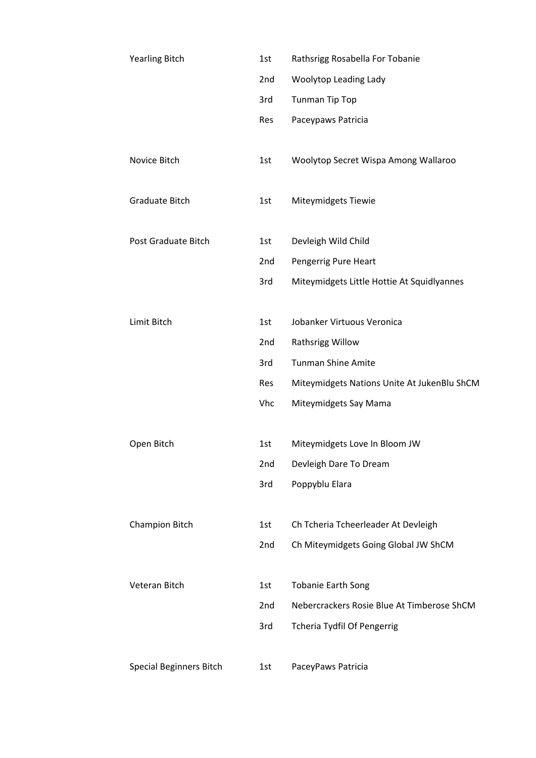| <b>Yearling Bitch</b>   | 1st             | Rathsrigg Rosabella For Tobanie             |
|-------------------------|-----------------|---------------------------------------------|
|                         | 2nd             | Woolytop Leading Lady                       |
|                         | 3rd             | <b>Tunman Tip Top</b>                       |
|                         | Res             | Paceypaws Patricia                          |
|                         |                 |                                             |
| Novice Bitch            | 1st             | Woolytop Secret Wispa Among Wallaroo        |
|                         |                 |                                             |
| <b>Graduate Bitch</b>   | 1st             | Miteymidgets Tiewie                         |
|                         |                 |                                             |
| Post Graduate Bitch     | 1st             | Devleigh Wild Child                         |
|                         | 2nd             | Pengerrig Pure Heart                        |
|                         | 3rd             | Miteymidgets Little Hottie At Squidlyannes  |
|                         |                 |                                             |
| Limit Bitch             | 1st             | Jobanker Virtuous Veronica                  |
|                         | 2nd             | Rathsrigg Willow                            |
|                         | 3rd             | <b>Tunman Shine Amite</b>                   |
|                         | Res             | Miteymidgets Nations Unite At JukenBlu ShCM |
|                         | Vhc             | Miteymidgets Say Mama                       |
|                         |                 |                                             |
| Open Bitch              | 1st             | Miteymidgets Love In Bloom JW               |
|                         | 2nd             | Devleigh Dare To Dream                      |
|                         | 3rd             | Poppyblu Elara                              |
|                         |                 |                                             |
| <b>Champion Bitch</b>   | 1st             | Ch Tcheria Tcheerleader At Devleigh         |
|                         | 2nd             | Ch Miteymidgets Going Global JW ShCM        |
|                         |                 |                                             |
| Veteran Bitch           | 1st             | <b>Tobanie Earth Song</b>                   |
|                         | 2 <sub>nd</sub> | Nebercrackers Rosie Blue At Timberose ShCM  |
|                         | 3rd             | Tcheria Tydfil Of Pengerrig                 |
|                         |                 |                                             |
| Special Beginners Bitch | 1st             | PaceyPaws Patricia                          |